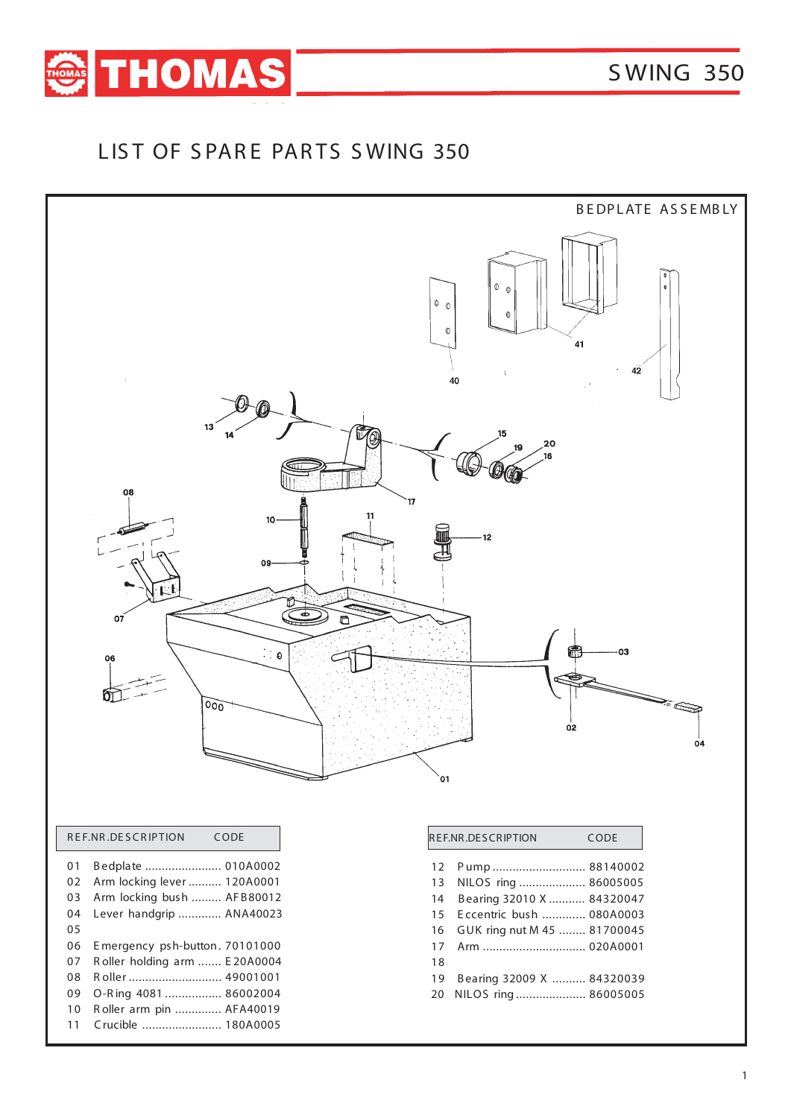

## LIST OF SPARE PARTS SWING 350

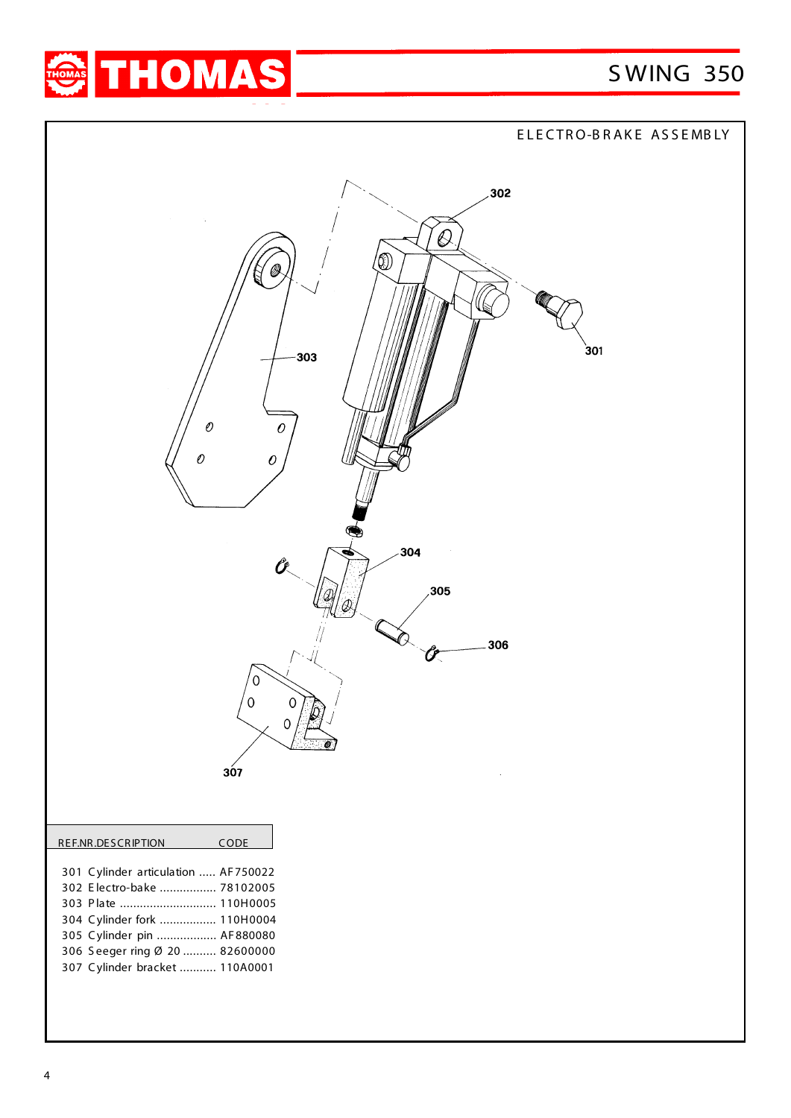

ELECTRO-BRAKE ASSEMBLY 302 **Q** (A) 301 303  $\mathcal O$  $\mathcal O$  $\mathcal{O}$  $\epsilon$ 304 305  $\bm{\widehat{\ell}}$ 306 Ů  $\Omega$  $\cap$  $307$ REF.NR.DESCRIPTION CODE 301 C ylinder articulation ..... AF750022 302 E lectro-bake ................. 78102005 303 P late ............................. 110H0005 304 C ylinder fork ................. 110H0004 305 C ylinder pin .................. AF 880080 306 S eeger ring Ø 20 .......... 82600000 307 C ylinder bracket ........... 110A0001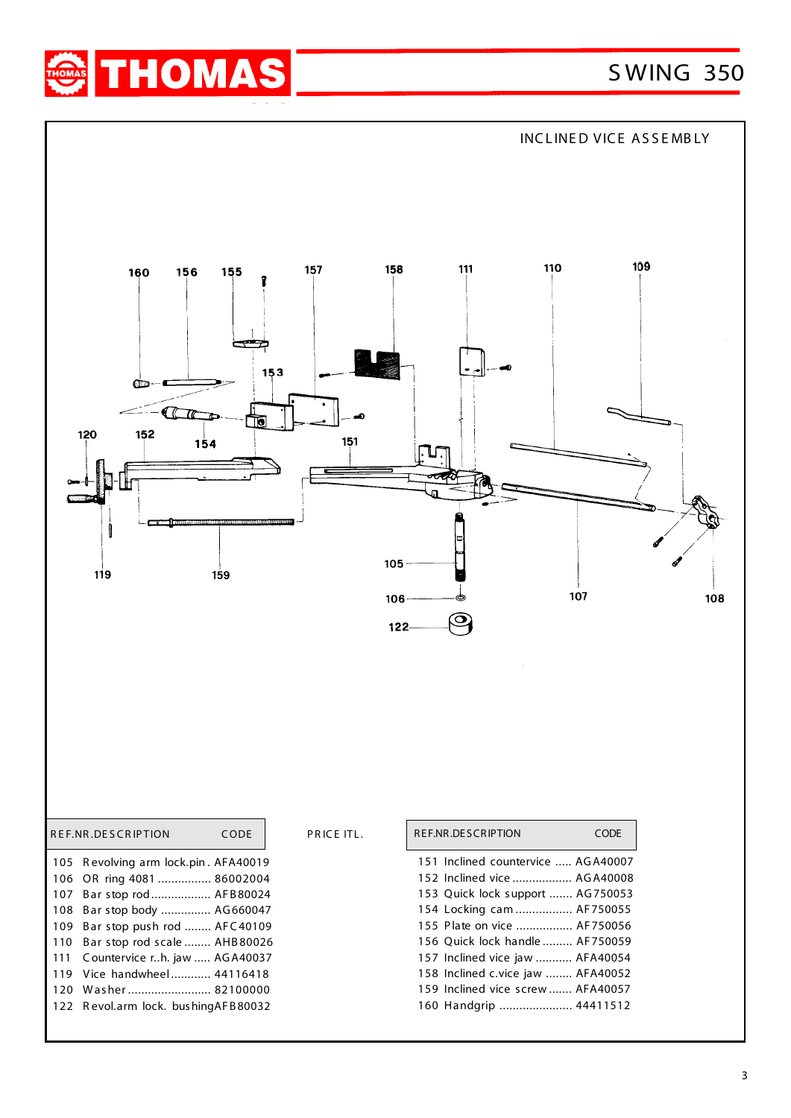



PRICE ITL.

|      | REF.NR.DESCRIPTION                   | CODE |
|------|--------------------------------------|------|
|      | 105 Revolving arm lock.pin. AFA40019 |      |
| 106  | OR ring 4081  86002004               |      |
| 107  | Bar stop rod AFB80024                |      |
| 108  | Bar stop body  AG660047              |      |
| 109  | Bar stop push rod  AFC40109          |      |
| 110  | Bar stop rod scale  AHB80026         |      |
| 111  | Countervice rh. jaw  AGA40037        |      |
| 119  | Vice handwhee [ 44116418]            |      |
| 120  | Washer 82100000                      |      |
| 122. | Revol.arm lock. bushingAFB80032      |      |
|      |                                      |      |

|  | REF.NR.DESCRIPTION                 | CODE |
|--|------------------------------------|------|
|  | 151 Inclined countervice  AGA40007 |      |
|  | 152 Inclined vice  AGA40008        |      |
|  | 153 Quick lock support  AG750053   |      |
|  | 154 Locking cam  AF750055          |      |
|  | 155 Plate on vice  AF750056        |      |
|  | 156 Quick lock handle  AF750059    |      |
|  | 157 Inclined vice jaw  AFA40054    |      |
|  | 158 Inclined c.vice jaw  AFA40052  |      |
|  | 159 Inclined vice screw  AFA40057  |      |
|  | 160 Handgrip  44411512             |      |
|  |                                    |      |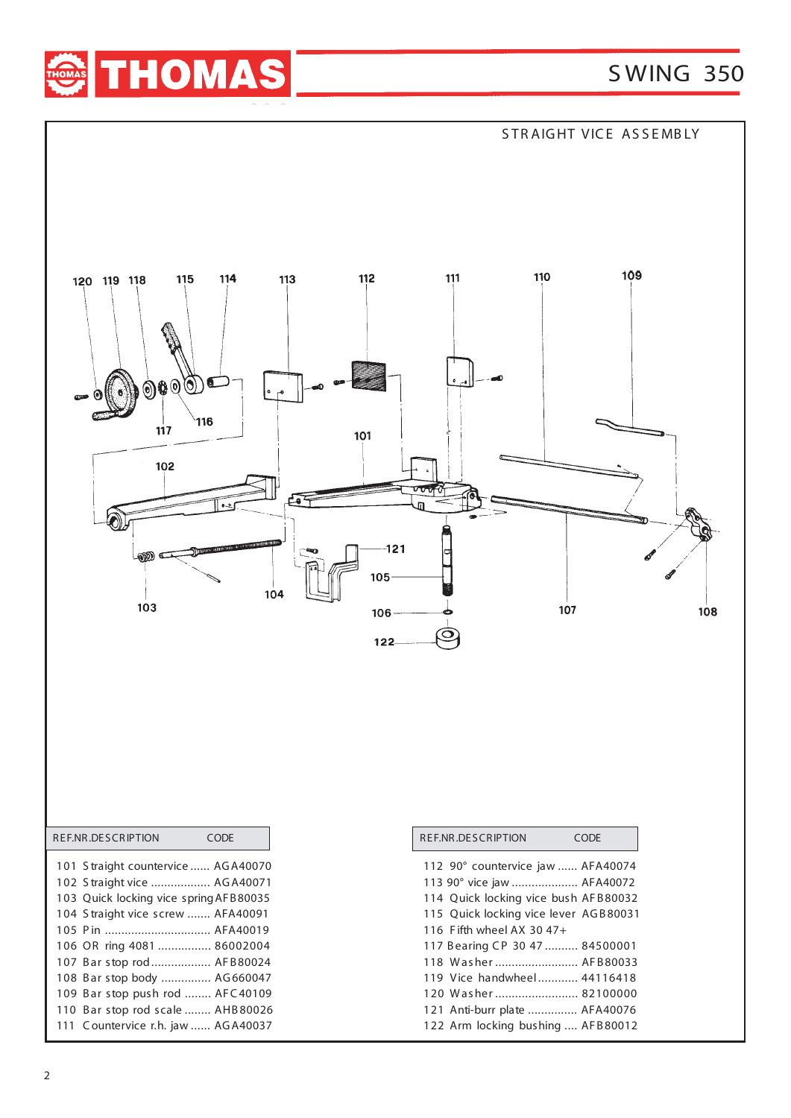





| 114 Quick locking vice bush AFB80032  |  |
|---------------------------------------|--|
| 115 Quick locking vice lever AGB80031 |  |
| 116 Fifth wheel AX 30 47+             |  |
| 117 Bearing CP 30 47  84500001        |  |
| 118 Washer AFB80033                   |  |
| 119 Vice handwheel 44116418           |  |
| 120 Washer  82100000                  |  |
| 121 Anti-burr plate  AFA40076         |  |
| 122 Arm locking bushing  AFB80012     |  |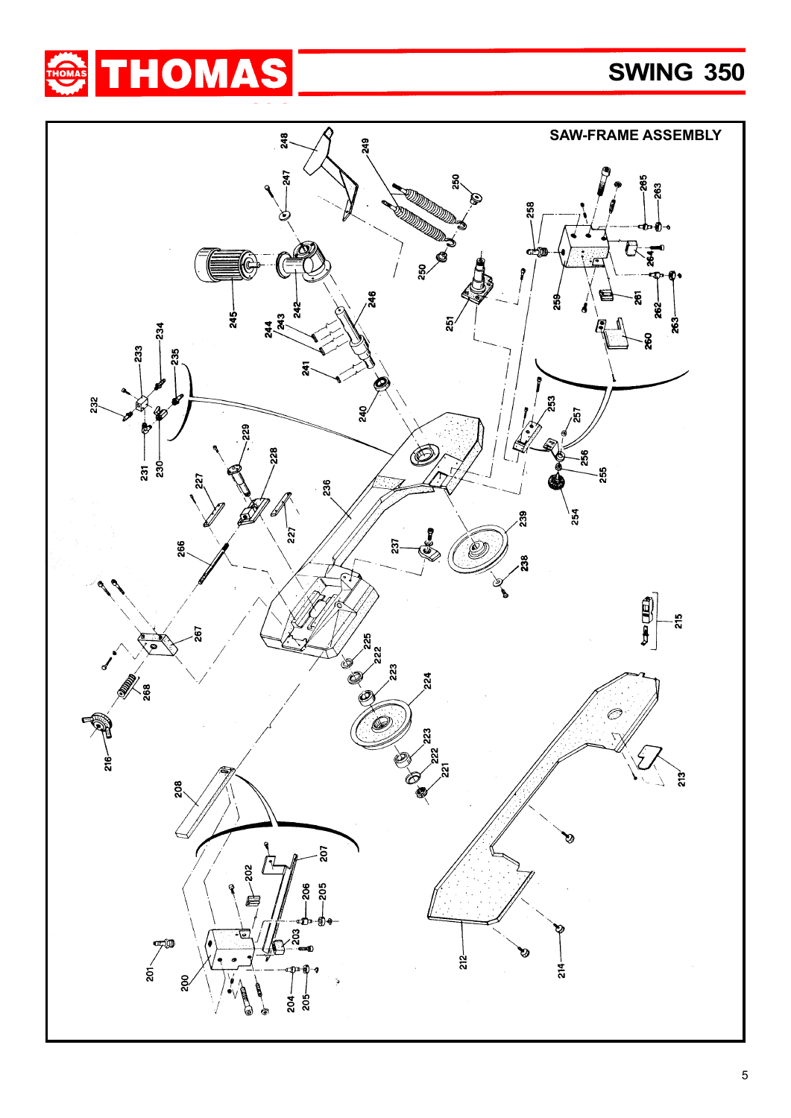